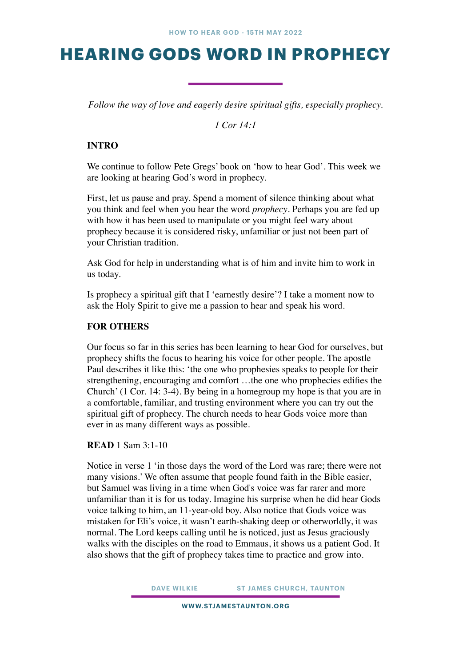## **HEARING GODS WORD IN PROPHECY**

*Follow the way of love and eagerly desire spiritual gifts, especially prophecy.* 

*1 Cor 14:1* 

## **INTRO**

We continue to follow Pete Gregs' book on 'how to hear God'. This week we are looking at hearing God's word in prophecy.

First, let us pause and pray. Spend a moment of silence thinking about what you think and feel when you hear the word *prophecy*. Perhaps you are fed up with how it has been used to manipulate or you might feel wary about prophecy because it is considered risky, unfamiliar or just not been part of your Christian tradition.

Ask God for help in understanding what is of him and invite him to work in us today.

Is prophecy a spiritual gift that I 'earnestly desire'? I take a moment now to ask the Holy Spirit to give me a passion to hear and speak his word.

## **FOR OTHERS**

Our focus so far in this series has been learning to hear God for ourselves, but prophecy shifts the focus to hearing his voice for other people. The apostle Paul describes it like this: 'the one who prophesies speaks to people for their strengthening, encouraging and comfort …the one who prophecies edifies the Church' (1 Cor. 14: 3-4). By being in a homegroup my hope is that you are in a comfortable, familiar, and trusting environment where you can try out the spiritual gift of prophecy. The church needs to hear Gods voice more than ever in as many different ways as possible.

**READ** 1 Sam 3:1-10

Notice in verse 1 'in those days the word of the Lord was rare; there were not many visions.' We often assume that people found faith in the Bible easier, but Samuel was living in a time when God's voice was far rarer and more unfamiliar than it is for us today. Imagine his surprise when he did hear Gods voice talking to him, an 11-year-old boy. Also notice that Gods voice was mistaken for Eli's voice, it wasn't earth-shaking deep or otherworldly, it was normal. The Lord keeps calling until he is noticed, just as Jesus graciously walks with the disciples on the road to Emmaus, it shows us a patient God. It also shows that the gift of prophecy takes time to practice and grow into.

**DAVE WILKIE ST JAMES CHURCH, TAUNTON** 

**WWW.STJAMESTAUNTON.ORG**